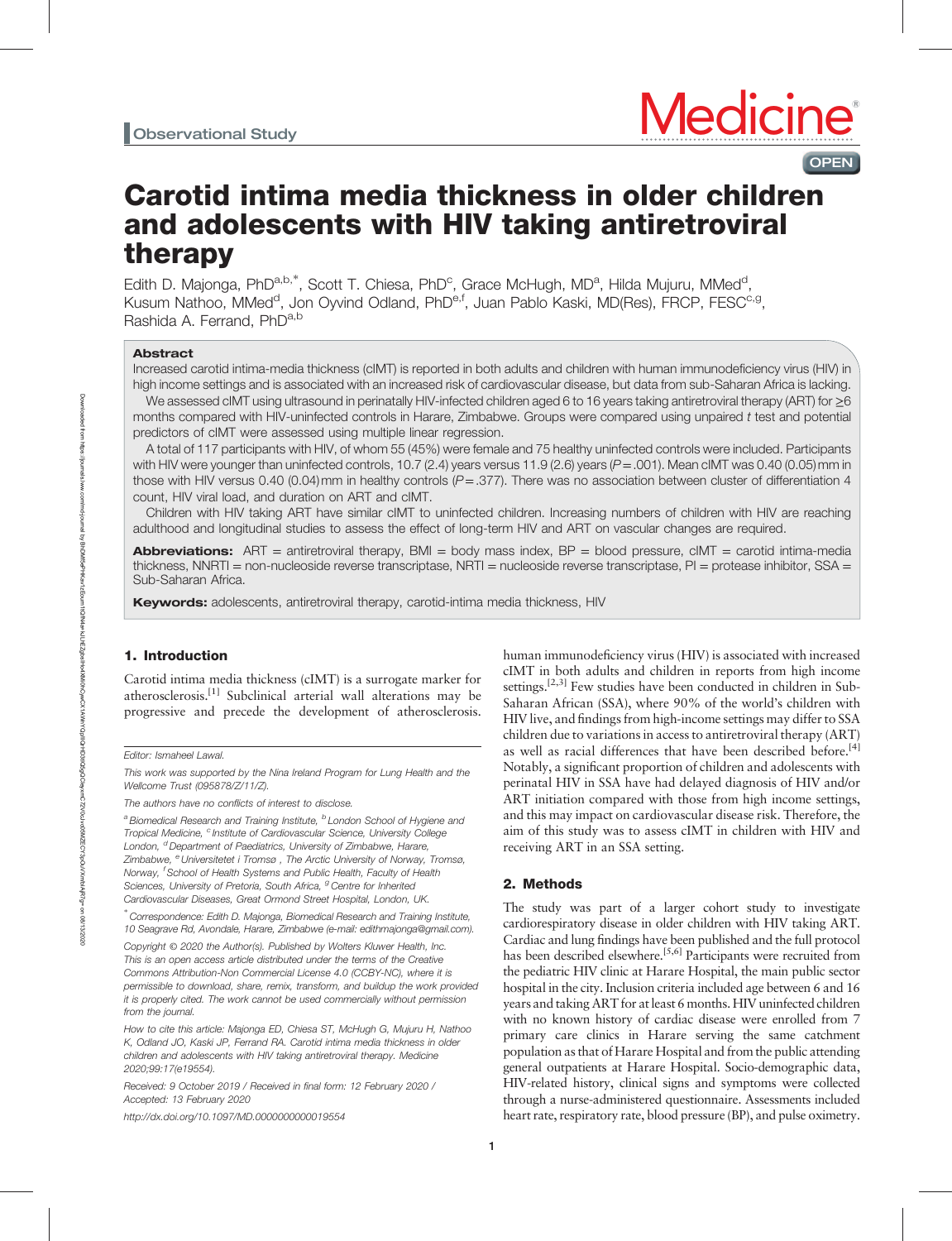# Carotid intima media thickness in older children and adolescents with HIV taking antiretroviral therapy

Edith D. Majonga, PhD<sup>a,b,\*</sup>, Scott T. Chiesa, PhD<sup>c</sup>, Grace McHugh, MD<sup>a</sup>, Hilda Mujuru, MMed<sup>d</sup>, Kusum Nathoo, MMed<sup>d</sup>, Jon Oyvind Odland, PhD<sup>e,f</sup>, Juan Pablo Kaski, MD(Res), FRCP, FESC<sup>c,g</sup>, Rashida A. Ferrand. PhD<sup>a,b</sup>

## Abstract

Increased carotid intima-media thickness (cIMT) is reported in both adults and children with human immunodeficiency virus (HIV) in high income settings and is associated with an increased risk of cardiovascular disease, but data from sub-Saharan Africa is lacking.

We assessed cIMT using ultrasound in perinatally HIV-infected children aged 6 to 16 years taking antiretroviral therapy (ART) for ≥6 months compared with HIV-uninfected controls in Harare, Zimbabwe. Groups were compared using unpaired t test and potential predictors of cIMT were assessed using multiple linear regression.

A total of 117 participants with HIV, of whom 55 (45%) were female and 75 healthy uninfected controls were included. Participants with HIV were younger than uninfected controls, 10.7 (2.4) years versus 11.9 (2.6) years ( $P = .001$ ). Mean cIMT was 0.40 (0.05) mm in those with HIV versus 0.40 (0.04) mm in healthy controls ( $P = 0.377$ ). There was no association between cluster of differentiation 4 count, HIV viral load, and duration on ART and cIMT.

Children with HIV taking ART have similar cIMT to uninfected children. Increasing numbers of children with HIV are reaching adulthood and longitudinal studies to assess the effect of long-term HIV and ART on vascular changes are required.

**Abbreviations:**  $ART =$  antiretroviral therapy,  $BMI =$  body mass index,  $BP =$  blood pressure,  $cIMT =$  carotid intima-media thickness, NNRTI = non-nucleoside reverse transcriptase, NRTI = nucleoside reverse transcriptase, PI = protease inhibitor, SSA = Sub-Saharan Africa.

**Keywords:** adolescents, antiretroviral therapy, carotid-intima media thickness, HIV

# 1. Introduction

Carotid intima media thickness (cIMT) is a surrogate marker for atherosclerosis.[1] Subclinical arterial wall alterations may be progressive and precede the development of atherosclerosis.

This work was supported by the Nina Ireland Program for Lung Health and the Wellcome Trust (095878/Z/11/Z).

The authors have no conflicts of interest to disclose.

<sup>a</sup> Biomedical Research and Training Institute, <sup>b</sup> London School of Hygiene and Tropical Medicine, <sup>c</sup> Institute of Cardiovascular Science, University College London, <sup>d</sup> Department of Paediatrics, University of Zimbabwe, Harare, Zimbabwe, <sup>e</sup> Universitetet i Tromsø, The Arctic University of Norway, Tromsø, Norway, <sup>f</sup> School of Health Systems and Public Health, Faculty of Health Sciences, University of Pretoria, South Africa, <sup>g</sup> Centre for Inherited Cardiovascular Diseases, Great Ormond Street Hospital, London, UK.

∗ Correspondence: Edith D. Majonga, Biomedical Research and Training Institute, 10 Seagrave Rd, Avondale, Harare, Zimbabwe (e-mail: [edithmajonga@gmail.com](mailto:edithmajonga@gmail.com)).

Copyright © 2020 the Author(s). Published by Wolters Kluwer Health, Inc. This is an open access article distributed under the terms of the [Creative](http://creativecommons.org/licenses/by-nc/4.0) [Commons Attribution-Non Commercial License 4.0](http://creativecommons.org/licenses/by-nc/4.0) (CCBY-NC), where it is permissible to download, share, remix, transform, and buildup the work provided it is properly cited. The work cannot be used commercially without permission from the journal.

How to cite this article: Majonga ED, Chiesa ST, McHugh G, Mujuru H, Nathoo K, Odland JO, Kaski JP, Ferrand RA. Carotid intima media thickness in older children and adolescents with HIV taking antiretroviral therapy. Medicine 2020;99:17(e19554).

Received: 9 October 2019 / Received in final form: 12 February 2020 / Accepted: 13 February 2020

<http://dx.doi.org/10.1097/MD.0000000000019554>

human immunodeficiency virus (HIV) is associated with increased cIMT in both adults and children in reports from high income settings.<sup>[2,3]</sup> Few studies have been conducted in children in Sub-Saharan African (SSA), where 90% of the world's children with HIV live, and findings from high-income settings may differ to SSA children due to variations in access to antiretroviral therapy (ART) as well as racial differences that have been described before.<sup>[4]</sup> Notably, a significant proportion of children and adolescents with perinatal HIV in SSA have had delayed diagnosis of HIV and/or ART initiation compared with those from high income settings, and this may impact on cardiovascular disease risk. Therefore, the aim of this study was to assess cIMT in children with HIV and receiving ART in an SSA setting.

**OPEN** 

# 2. Methods

The study was part of a larger cohort study to investigate cardiorespiratory disease in older children with HIV taking ART. Cardiac and lung findings have been published and the full protocol has been described elsewhere.<sup>[5,6]</sup> Participants were recruited from the pediatric HIV clinic at Harare Hospital, the main public sector hospital in the city. Inclusion criteria included age between 6 and 16 years and taking ART for at least 6 months. HIV uninfected children with no known history of cardiac disease were enrolled from 7 primary care clinics in Harare serving the same catchment population as that of Harare Hospital and from the public attending general outpatients at Harare Hospital. Socio-demographic data, HIV-related history, clinical signs and symptoms were collected through a nurse-administered questionnaire. Assessments included heart rate, respiratory rate, blood pressure (BP), and pulse oximetry.

Editor: Ismaheel Lawal.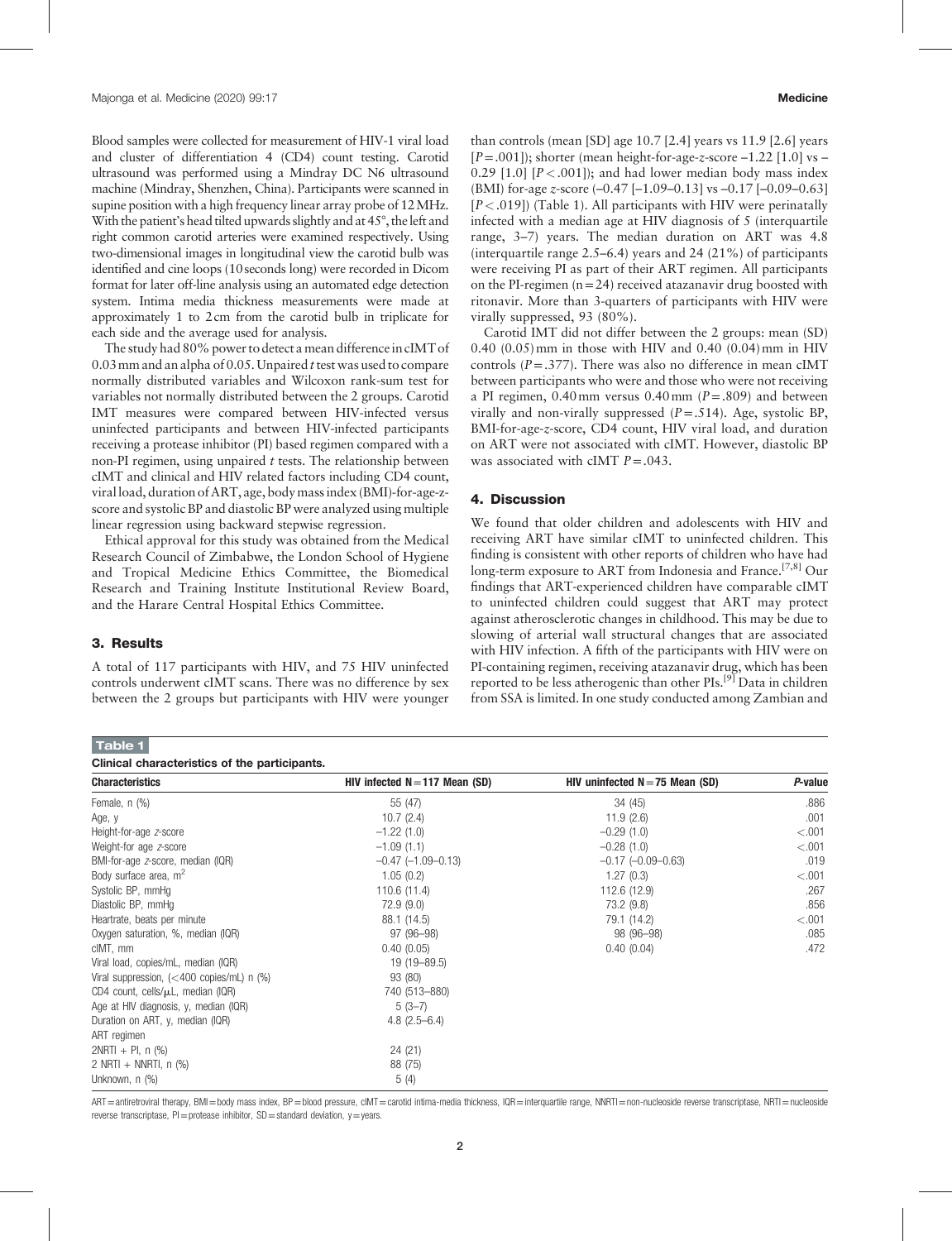Blood samples were collected for measurement of HIV-1 viral load and cluster of differentiation 4 (CD4) count testing. Carotid ultrasound was performed using a Mindray DC N6 ultrasound machine (Mindray, Shenzhen, China). Participants were scanned in supine position with a high frequency linear array probe of 12MHz. With the patient's head tilted upwards slightly and at 45°, the left and right common carotid arteries were examined respectively. Using two-dimensional images in longitudinal view the carotid bulb was identified and cine loops (10 seconds long) were recorded in Dicom format for later off-line analysis using an automated edge detection system. Intima media thickness measurements were made at approximately 1 to 2cm from the carotid bulb in triplicate for each side and the average used for analysis.

The study had 80% power to detect a mean difference in cIMT of 0.03 mm and an alpha of 0.05. Unpaired t test was used to compare normally distributed variables and Wilcoxon rank-sum test for variables not normally distributed between the 2 groups. Carotid IMT measures were compared between HIV-infected versus uninfected participants and between HIV-infected participants receiving a protease inhibitor (PI) based regimen compared with a non-PI regimen, using unpaired  $t$  tests. The relationship between cIMT and clinical and HIV related factors including CD4 count, viral load, duration of ART, age, body mass index (BMI)-for-age-zscore and systolic BP and diastolic BP were analyzed using multiple linear regression using backward stepwise regression.

Ethical approval for this study was obtained from the Medical Research Council of Zimbabwe, the London School of Hygiene and Tropical Medicine Ethics Committee, the Biomedical Research and Training Institute Institutional Review Board, and the Harare Central Hospital Ethics Committee.

## 3. Results

Table 1

A total of 117 participants with HIV, and 75 HIV uninfected controls underwent cIMT scans. There was no difference by sex between the 2 groups but participants with HIV were younger than controls (mean [SD] age 10.7 [2.4] years vs 11.9 [2.6] years  $[P=.001]$ ); shorter (mean height-for-age-z-score  $-1.22$  [1.0] vs – 0.29 [1.0]  $[P < .001]$ ; and had lower median body mass index (BMI) for-age z-score (–0.47 [–1.09–0.13] vs –0.17 [–0.09–0.63]  $[P<.019]$ ) (Table 1). All participants with HIV were perinatally infected with a median age at HIV diagnosis of 5 (interquartile range, 3–7) years. The median duration on ART was 4.8 (interquartile range 2.5–6.4) years and 24 (21%) of participants were receiving PI as part of their ART regimen. All participants on the PI-regimen  $(n=24)$  received atazanavir drug boosted with ritonavir. More than 3-quarters of participants with HIV were virally suppressed, 93 (80%).

Carotid IMT did not differ between the 2 groups: mean (SD) 0.40 (0.05)mm in those with HIV and 0.40 (0.04)mm in HIV controls  $(P = .377)$ . There was also no difference in mean cIMT between participants who were and those who were not receiving a PI regimen,  $0.40$  mm versus  $0.40$  mm ( $P = .809$ ) and between virally and non-virally suppressed  $(P=.514)$ . Age, systolic BP, BMI-for-age-z-score, CD4 count, HIV viral load, and duration on ART were not associated with cIMT. However, diastolic BP was associated with cIMT  $P = .043$ .

## 4. Discussion

We found that older children and adolescents with HIV and receiving ART have similar cIMT to uninfected children. This finding is consistent with other reports of children who have had long-term exposure to ART from Indonesia and France.<sup>[7,8]</sup> Our findings that ART-experienced children have comparable cIMT to uninfected children could suggest that ART may protect against atherosclerotic changes in childhood. This may be due to slowing of arterial wall structural changes that are associated with HIV infection. A fifth of the participants with HIV were on PI-containing regimen, receiving atazanavir drug, which has been reported to be less atherogenic than other PIs.<sup>[9]</sup> Data in children from SSA is limited. In one study conducted among Zambian and

| Clinical characteristics of the participants.              |                                  |                                   |         |
|------------------------------------------------------------|----------------------------------|-----------------------------------|---------|
| <b>Characteristics</b>                                     | HIV infected $N = 117$ Mean (SD) | HIV uninfected $N = 75$ Mean (SD) | P-value |
| Female, n (%)                                              | 55 (47)                          | 34 (45)                           | .886    |
| Age, y                                                     | 10.7(2.4)                        | 11.9(2.6)                         | .001    |
| Height-for-age z-score                                     | $-1.22(1.0)$                     | $-0.29(1.0)$                      | < 0.001 |
| Weight-for age z-score                                     | $-1.09(1.1)$                     | $-0.28(1.0)$                      | $-.001$ |
| BMI-for-age z-score, median (IQR)                          | $-0.47$ $(-1.09 - 0.13)$         | $-0.17$ $(-0.09 - 0.63)$          | .019    |
| Body surface area, m <sup>2</sup>                          | 1.05(0.2)                        | 1.27(0.3)                         | < 0.001 |
| Systolic BP, mmHg                                          | 110.6 (11.4)                     | 112.6 (12.9)                      | .267    |
| Diastolic BP, mmHq                                         | 72.9 (9.0)                       | 73.2 (9.8)                        | .856    |
| Heartrate, beats per minute                                | 88.1 (14.5)                      | 79.1 (14.2)                       | < 0.001 |
| Oxygen saturation, %, median (IQR)                         | 97 (96-98)                       | 98 (96-98)                        | .085    |
| cIMT, mm                                                   | 0.40(0.05)                       | 0.40(0.04)                        | .472    |
| Viral load, copies/mL, median (IQR)                        | 19 (19 - 89.5)                   |                                   |         |
| Viral suppression, $\left($ < 400 copies/mL) n $\left($ %) | 93 (80)                          |                                   |         |
| CD4 count, cells/ $\mu$ L, median (IQR)                    | 740 (513-880)                    |                                   |         |
| Age at HIV diagnosis, y, median (IQR)                      | $5(3-7)$                         |                                   |         |
| Duration on ART, y, median (IQR)                           | $4.8$ (2.5-6.4)                  |                                   |         |
| ART regimen                                                |                                  |                                   |         |
| $2NRTI + PI, n$ (%)                                        | 24 (21)                          |                                   |         |
| 2 NRTI + NNRTI, $n$ (%)                                    | 88 (75)                          |                                   |         |
| Unknown, n (%)                                             | 5(4)                             |                                   |         |

ART=antiretroviral therapy, BMI=body mass index, BP=blood pressure, cIMT=carotid intima-media thickness, IQR=interquartile range, NNRTI=non-nucleoside reverse transcriptase, NRTI=nucleoside reverse transcriptase,  $Pl =$ protease inhibitor,  $SD =$ standard deviation,  $v =$ years.